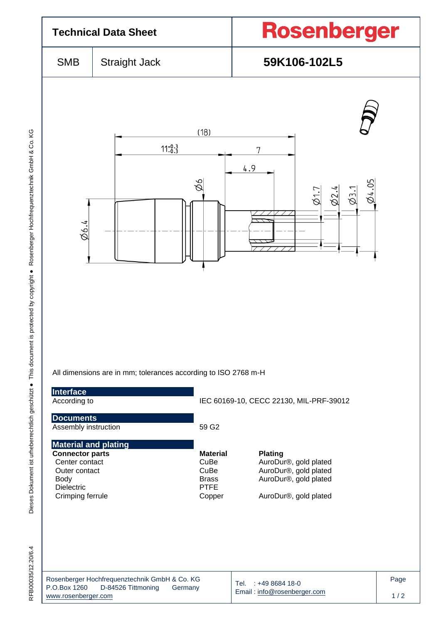